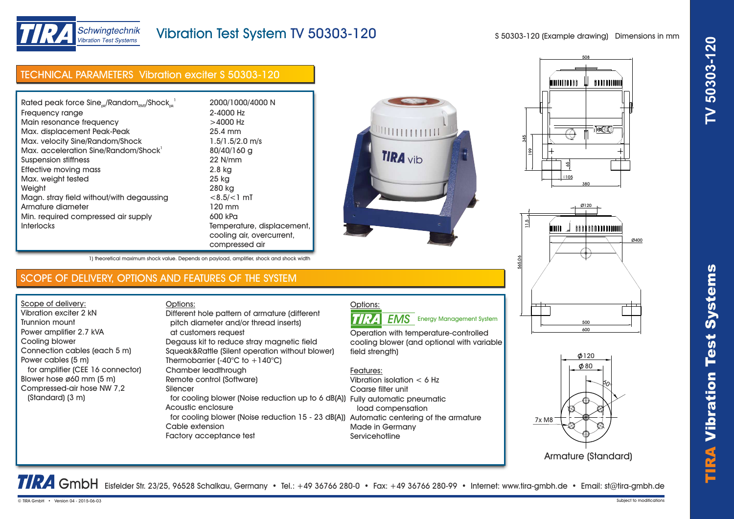

# Vibration Test System TV 50303-120

S 50303-120 (Example drawing) Dimensions in mm

## TECHNICAL PARAMETERS Vibration exciter S 50303-120

| Rated peak force $Sine_{\alpha\beta}$ /Random $_{\alpha\alpha}$ /Shock $_{\alpha\beta}$ | 2000/1000/4000 N           |
|-----------------------------------------------------------------------------------------|----------------------------|
| Frequency range                                                                         | 2-4000 Hz                  |
| Main resonance frequency                                                                | $>4000$ Hz                 |
| Max. displacement Peak-Peak                                                             | 25.4 mm                    |
| Max. velocity Sine/Random/Shock                                                         | $1.5/1.5/2.0$ m/s          |
| Max. acceleration Sine/Random/Shock <sup>1</sup>                                        | 80/40/160 g                |
| Suspension stiffness                                                                    | 22 N/mm                    |
| Effective moving mass                                                                   | 2.8 kg                     |
| Max. weight tested                                                                      | 25 kg                      |
| Weight                                                                                  | 280 kg                     |
| Magn. stray field without/with degaussing                                               | $< 8.5 / < 1$ mT           |
| Armature diameter                                                                       | 120 mm                     |
| Min. required compressed air supply                                                     | 600 kPa                    |
| <b>Interlocks</b>                                                                       | Temperature, displacement, |
|                                                                                         | cooling air, overcurrent,  |
|                                                                                         | compressed air             |

SCOPE OF DELIVERY, OPTIONS AND FEATURES OF THE SYSTEM

1) theoretical maximum shock value. Depends on payload, amplifier, shock and shock width

at customers request

Chamber leadthrough Remote control (Software)

Acoustic enclosure

Factory acceptance test

Cable extension

pitch diameter and/or thread inserts)

Thermobarrier (-40 $^{\circ}$ C to +140 $^{\circ}$ C)

Degauss kit to reduce stray magnetic field Squeak&Rattle (Silent operation without blower)

Different hole pattern of armature (different

Options:

Silencer









Armature (Standard)

TRA GmbH Eisfelder Str. 23/25, 96528 Schalkau, Germany • Tel.: +49 36766 280-0 • Fax: +49 36766 280-99 • Internet: www.tira-gmbh.de • Email: st@tira-gmbh.de

Options:

**EMS** Energy Management System

Operation with temperature-controlled cooling blower (and optional with variable field strenath)

### Features:

TIRA

 for cooling blower (Noise reduction up to 6 dB(A)) Fully automatic pneumatic for cooling blower (Noise reduction 15 - 23 dB(A)) Automatic centering of the armature Vibration isolation < 6 Hz Coarse filter unit load compensation Made in Germany **Servicehotline** 

TIRA

Vibr

Scope of delivery: Vibration exciter 2 kN Trunnion mount

Cooling blower

Power cables (5 m)

(Standard) (3 m)

Power amplifier 2.7 kVA

Connection cables (each 5 m)

Blower hose ø60 mm (5 m) Compressed-air hose NW 7,2

for amplifier (CEE 16 connector)